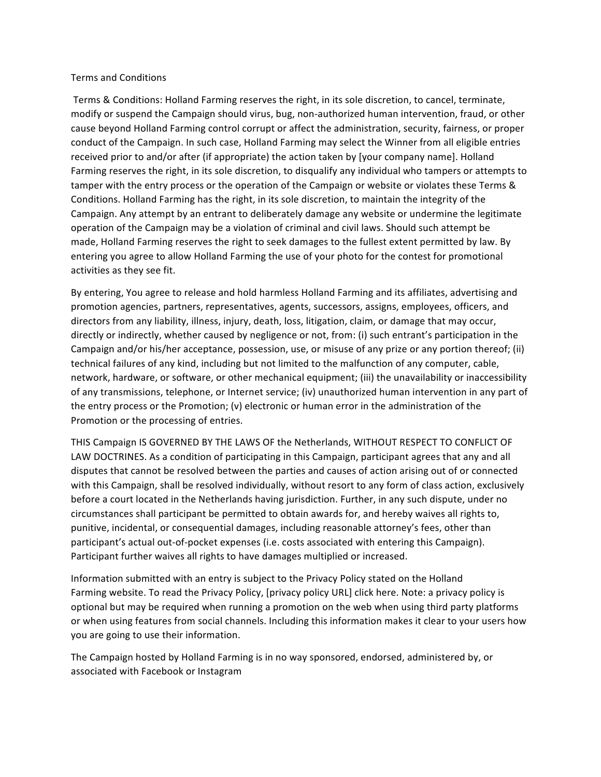### Terms and Conditions

Terms & Conditions: Holland Farming reserves the right, in its sole discretion, to cancel, terminate, modify or suspend the Campaign should virus, bug, non-authorized human intervention, fraud, or other cause beyond Holland Farming control corrupt or affect the administration, security, fairness, or proper conduct of the Campaign. In such case, Holland Farming may select the Winner from all eligible entries received prior to and/or after (if appropriate) the action taken by [your company name]. Holland Farming reserves the right, in its sole discretion, to disqualify any individual who tampers or attempts to tamper with the entry process or the operation of the Campaign or website or violates these Terms & Conditions. Holland Farming has the right, in its sole discretion, to maintain the integrity of the Campaign. Any attempt by an entrant to deliberately damage any website or undermine the legitimate operation of the Campaign may be a violation of criminal and civil laws. Should such attempt be made, Holland Farming reserves the right to seek damages to the fullest extent permitted by law. By entering you agree to allow Holland Farming the use of your photo for the contest for promotional activities as they see fit.

By entering, You agree to release and hold harmless Holland Farming and its affiliates, advertising and promotion agencies, partners, representatives, agents, successors, assigns, employees, officers, and directors from any liability, illness, injury, death, loss, litigation, claim, or damage that may occur, directly or indirectly, whether caused by negligence or not, from: (i) such entrant's participation in the Campaign and/or his/her acceptance, possession, use, or misuse of any prize or any portion thereof; (ii) technical failures of any kind, including but not limited to the malfunction of any computer, cable, network, hardware, or software, or other mechanical equipment; (iii) the unavailability or inaccessibility of any transmissions, telephone, or Internet service; (iv) unauthorized human intervention in any part of the entry process or the Promotion;  $(v)$  electronic or human error in the administration of the Promotion or the processing of entries.

THIS Campaign IS GOVERNED BY THE LAWS OF the Netherlands, WITHOUT RESPECT TO CONFLICT OF LAW DOCTRINES. As a condition of participating in this Campaign, participant agrees that any and all disputes that cannot be resolved between the parties and causes of action arising out of or connected with this Campaign, shall be resolved individually, without resort to any form of class action, exclusively before a court located in the Netherlands having jurisdiction. Further, in any such dispute, under no circumstances shall participant be permitted to obtain awards for, and hereby waives all rights to, punitive, incidental, or consequential damages, including reasonable attorney's fees, other than participant's actual out-of-pocket expenses (i.e. costs associated with entering this Campaign). Participant further waives all rights to have damages multiplied or increased.

Information submitted with an entry is subject to the Privacy Policy stated on the Holland Farming website. To read the Privacy Policy, [privacy policy URL] click here. Note: a privacy policy is optional but may be required when running a promotion on the web when using third party platforms or when using features from social channels. Including this information makes it clear to your users how you are going to use their information.

The Campaign hosted by Holland Farming is in no way sponsored, endorsed, administered by, or associated with Facebook or Instagram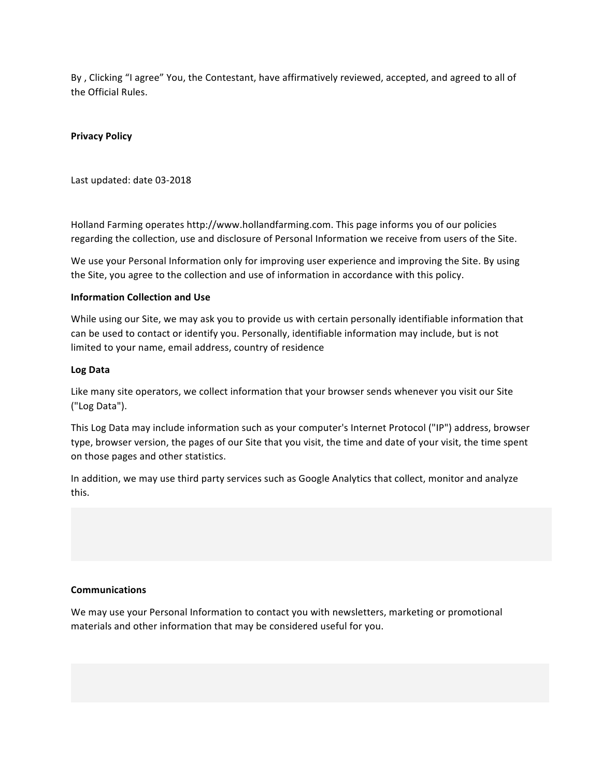By, Clicking "I agree" You, the Contestant, have affirmatively reviewed, accepted, and agreed to all of the Official Rules.

# **Privacy Policy**

Last updated: date 03-2018

Holland Farming operates http://www.hollandfarming.com. This page informs you of our policies regarding the collection, use and disclosure of Personal Information we receive from users of the Site.

We use your Personal Information only for improving user experience and improving the Site. By using the Site, you agree to the collection and use of information in accordance with this policy.

# **Information Collection and Use**

While using our Site, we may ask you to provide us with certain personally identifiable information that can be used to contact or identify you. Personally, identifiable information may include, but is not limited to your name, email address, country of residence

### **Log Data**

Like many site operators, we collect information that your browser sends whenever you visit our Site ("Log Data").

This Log Data may include information such as your computer's Internet Protocol ("IP") address, browser type, browser version, the pages of our Site that you visit, the time and date of your visit, the time spent on those pages and other statistics.

In addition, we may use third party services such as Google Analytics that collect, monitor and analyze this.

#### **Communications**

We may use your Personal Information to contact you with newsletters, marketing or promotional materials and other information that may be considered useful for you.